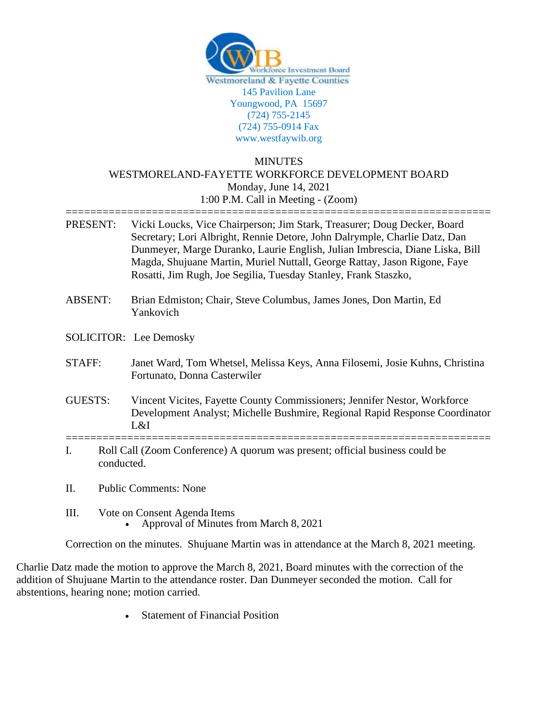

## **MINUTES** WESTMORELAND-FAYETTE WORKFORCE DEVELOPMENT BOARD Monday, June 14, 2021 1:00 P.M. Call in Meeting - (Zoom)

=====================================================================

| PRESENT:       | Vicki Loucks, Vice Chairperson; Jim Stark, Treasurer; Doug Decker, Board<br>Secretary; Lori Albright, Rennie Detore, John Dalrymple, Charlie Datz, Dan<br>Dunmeyer, Marge Duranko, Laurie English, Julian Imbrescia, Diane Liska, Bill<br>Magda, Shujuane Martin, Muriel Nuttall, George Rattay, Jason Rigone, Faye<br>Rosatti, Jim Rugh, Joe Segilia, Tuesday Stanley, Frank Staszko, |  |
|----------------|----------------------------------------------------------------------------------------------------------------------------------------------------------------------------------------------------------------------------------------------------------------------------------------------------------------------------------------------------------------------------------------|--|
| <b>ABSENT:</b> | Brian Edmiston; Chair, Steve Columbus, James Jones, Don Martin, Ed.<br>Yankovich                                                                                                                                                                                                                                                                                                       |  |
|                | SOLICITOR: Lee Demosky                                                                                                                                                                                                                                                                                                                                                                 |  |
| STAFF:         | Janet Ward, Tom Whetsel, Melissa Keys, Anna Filosemi, Josie Kuhns, Christina<br>Fortunato, Donna Casterwiler                                                                                                                                                                                                                                                                           |  |
| <b>GUESTS:</b> | Vincent Vicites, Fayette County Commissioners; Jennifer Nestor, Workforce<br>Development Analyst; Michelle Bushmire, Regional Rapid Response Coordinator<br>L&I                                                                                                                                                                                                                        |  |
| I.             | Roll Call (Zoom Conference) A quorum was present; official business could be<br>conducted.                                                                                                                                                                                                                                                                                             |  |
| Π.             | <b>Public Comments: None</b>                                                                                                                                                                                                                                                                                                                                                           |  |
| Ш.             | Vote on Consent Agenda Items<br>Approval of Minutes from March 8, 2021                                                                                                                                                                                                                                                                                                                 |  |

Correction on the minutes. Shujuane Martin was in attendance at the March 8, 2021 meeting.

Charlie Datz made the motion to approve the March 8, 2021, Board minutes with the correction of the addition of Shujuane Martin to the attendance roster. Dan Dunmeyer seconded the motion. Call for abstentions, hearing none; motion carried.

• Statement of Financial Position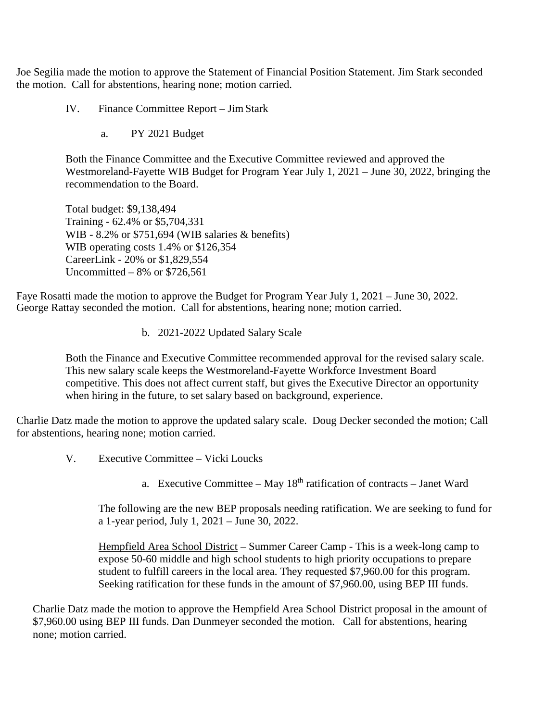Joe Segilia made the motion to approve the Statement of Financial Position Statement. Jim Stark seconded the motion. Call for abstentions, hearing none; motion carried.

IV. Finance Committee Report – JimStark

a. PY 2021 Budget

Both the Finance Committee and the Executive Committee reviewed and approved the Westmoreland-Fayette WIB Budget for Program Year July 1, 2021 – June 30, 2022, bringing the recommendation to the Board.

Total budget: \$9,138,494 Training - 62.4% or \$5,704,331 WIB - 8.2% or \$751,694 (WIB salaries & benefits) WIB operating costs 1.4% or \$126,354 CareerLink - 20% or \$1,829,554 Uncommitted  $-8\%$  or \$726,561

Faye Rosatti made the motion to approve the Budget for Program Year July 1, 2021 – June 30, 2022. George Rattay seconded the motion. Call for abstentions, hearing none; motion carried.

b. 2021-2022 Updated Salary Scale

Both the Finance and Executive Committee recommended approval for the revised salary scale. This new salary scale keeps the Westmoreland-Fayette Workforce Investment Board competitive. This does not affect current staff, but gives the Executive Director an opportunity when hiring in the future, to set salary based on background, experience.

Charlie Datz made the motion to approve the updated salary scale. Doug Decker seconded the motion; Call for abstentions, hearing none; motion carried.

- V. Executive Committee Vicki Loucks
	- a. Executive Committee May  $18<sup>th</sup>$  ratification of contracts Janet Ward

The following are the new BEP proposals needing ratification. We are seeking to fund for a 1-year period, July 1, 2021 – June 30, 2022.

Hempfield Area School District – Summer Career Camp - This is a week-long camp to expose 50-60 middle and high school students to high priority occupations to prepare student to fulfill careers in the local area. They requested \$7,960.00 for this program. Seeking ratification for these funds in the amount of \$7,960.00, using BEP III funds.

Charlie Datz made the motion to approve the Hempfield Area School District proposal in the amount of \$7,960.00 using BEP III funds. Dan Dunmeyer seconded the motion. Call for abstentions, hearing none; motion carried.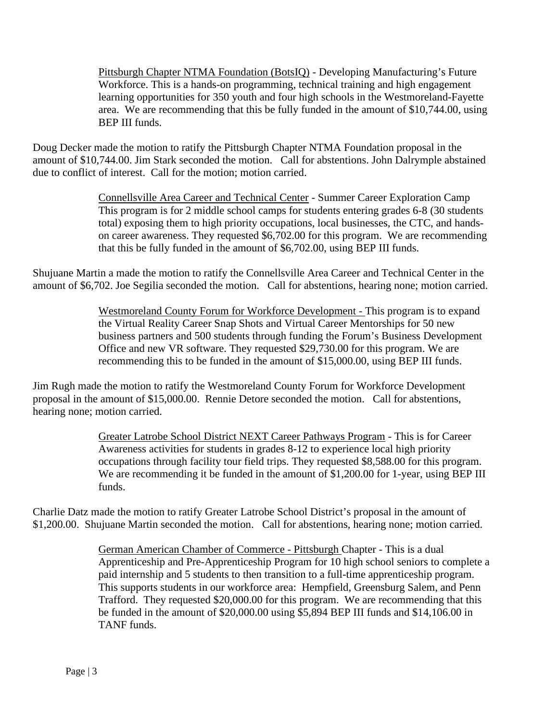Pittsburgh Chapter NTMA Foundation (BotsIQ) - Developing Manufacturing's Future Workforce. This is a hands-on programming, technical training and high engagement learning opportunities for 350 youth and four high schools in the Westmoreland-Fayette area. We are recommending that this be fully funded in the amount of \$10,744.00, using BEP III funds.

Doug Decker made the motion to ratify the Pittsburgh Chapter NTMA Foundation proposal in the amount of \$10,744.00. Jim Stark seconded the motion. Call for abstentions. John Dalrymple abstained due to conflict of interest. Call for the motion; motion carried.

> Connellsville Area Career and Technical Center - Summer Career Exploration Camp This program is for 2 middle school camps for students entering grades 6-8 (30 students total) exposing them to high priority occupations, local businesses, the CTC, and handson career awareness. They requested \$6,702.00 for this program. We are recommending that this be fully funded in the amount of \$6,702.00, using BEP III funds.

Shujuane Martin a made the motion to ratify the Connellsville Area Career and Technical Center in the amount of \$6,702. Joe Segilia seconded the motion. Call for abstentions, hearing none; motion carried.

> Westmoreland County Forum for Workforce Development - This program is to expand the Virtual Reality Career Snap Shots and Virtual Career Mentorships for 50 new business partners and 500 students through funding the Forum's Business Development Office and new VR software. They requested \$29,730.00 for this program. We are recommending this to be funded in the amount of \$15,000.00, using BEP III funds.

Jim Rugh made the motion to ratify the Westmoreland County Forum for Workforce Development proposal in the amount of \$15,000.00. Rennie Detore seconded the motion. Call for abstentions, hearing none; motion carried.

> Greater Latrobe School District NEXT Career Pathways Program - This is for Career Awareness activities for students in grades 8-12 to experience local high priority occupations through facility tour field trips. They requested \$8,588.00 for this program. We are recommending it be funded in the amount of \$1,200.00 for 1-year, using BEP III funds.

Charlie Datz made the motion to ratify Greater Latrobe School District's proposal in the amount of \$1,200.00. Shujuane Martin seconded the motion. Call for abstentions, hearing none; motion carried.

> German American Chamber of Commerce - Pittsburgh Chapter - This is a dual Apprenticeship and Pre-Apprenticeship Program for 10 high school seniors to complete a paid internship and 5 students to then transition to a full-time apprenticeship program. This supports students in our workforce area: Hempfield, Greensburg Salem, and Penn Trafford. They requested \$20,000.00 for this program. We are recommending that this be funded in the amount of \$20,000.00 using \$5,894 BEP III funds and \$14,106.00 in TANF funds.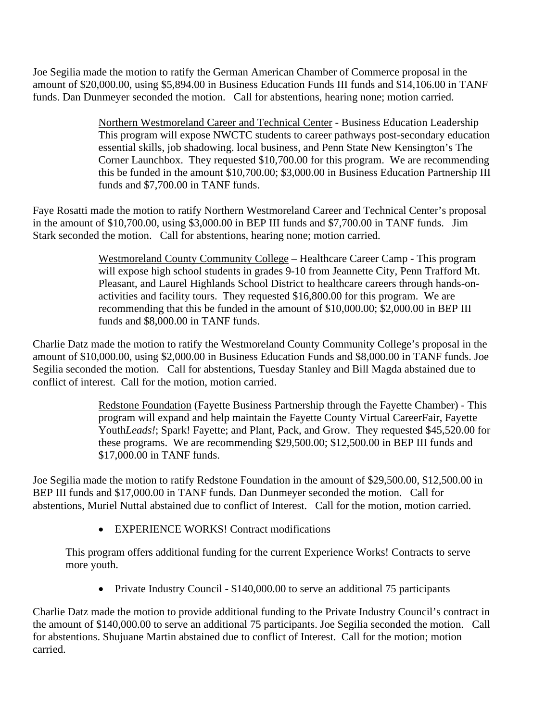Joe Segilia made the motion to ratify the German American Chamber of Commerce proposal in the amount of \$20,000.00, using \$5,894.00 in Business Education Funds III funds and \$14,106.00 in TANF funds. Dan Dunmeyer seconded the motion. Call for abstentions, hearing none; motion carried.

> Northern Westmoreland Career and Technical Center - Business Education Leadership This program will expose NWCTC students to career pathways post-secondary education essential skills, job shadowing. local business, and Penn State New Kensington's The Corner Launchbox. They requested \$10,700.00 for this program. We are recommending this be funded in the amount \$10,700.00; \$3,000.00 in Business Education Partnership III funds and \$7,700.00 in TANF funds.

Faye Rosatti made the motion to ratify Northern Westmoreland Career and Technical Center's proposal in the amount of \$10,700.00, using \$3,000.00 in BEP III funds and \$7,700.00 in TANF funds. Jim Stark seconded the motion. Call for abstentions, hearing none; motion carried.

> Westmoreland County Community College – Healthcare Career Camp - This program will expose high school students in grades 9-10 from Jeannette City, Penn Trafford Mt. Pleasant, and Laurel Highlands School District to healthcare careers through hands-onactivities and facility tours. They requested \$16,800.00 for this program. We are recommending that this be funded in the amount of \$10,000.00; \$2,000.00 in BEP III funds and \$8,000.00 in TANF funds.

Charlie Datz made the motion to ratify the Westmoreland County Community College's proposal in the amount of \$10,000.00, using \$2,000.00 in Business Education Funds and \$8,000.00 in TANF funds. Joe Segilia seconded the motion. Call for abstentions, Tuesday Stanley and Bill Magda abstained due to conflict of interest. Call for the motion, motion carried.

> Redstone Foundation (Fayette Business Partnership through the Fayette Chamber) - This program will expand and help maintain the Fayette County Virtual CareerFair, Fayette Youth*Leads!*; Spark! Fayette; and Plant, Pack, and Grow. They requested \$45,520.00 for these programs. We are recommending \$29,500.00; \$12,500.00 in BEP III funds and \$17,000.00 in TANF funds.

Joe Segilia made the motion to ratify Redstone Foundation in the amount of \$29,500.00, \$12,500.00 in BEP III funds and \$17,000.00 in TANF funds. Dan Dunmeyer seconded the motion. Call for abstentions, Muriel Nuttal abstained due to conflict of Interest. Call for the motion, motion carried.

• EXPERIENCE WORKS! Contract modifications

This program offers additional funding for the current Experience Works! Contracts to serve more youth.

• Private Industry Council - \$140,000.00 to serve an additional 75 participants

Charlie Datz made the motion to provide additional funding to the Private Industry Council's contract in the amount of \$140,000.00 to serve an additional 75 participants. Joe Segilia seconded the motion. Call for abstentions. Shujuane Martin abstained due to conflict of Interest. Call for the motion; motion carried.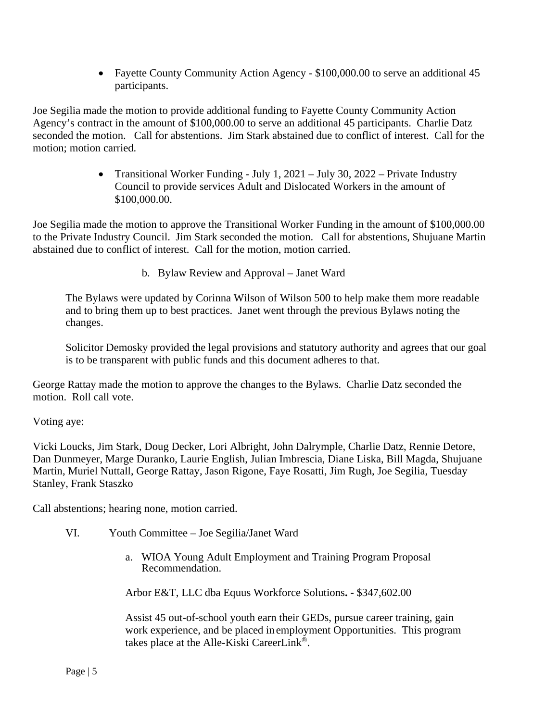• Fayette County Community Action Agency - \$100,000.00 to serve an additional 45 participants.

Joe Segilia made the motion to provide additional funding to Fayette County Community Action Agency's contract in the amount of \$100,000.00 to serve an additional 45 participants. Charlie Datz seconded the motion. Call for abstentions. Jim Stark abstained due to conflict of interest. Call for the motion; motion carried.

> • Transitional Worker Funding - July 1, 2021 – July 30, 2022 – Private Industry Council to provide services Adult and Dislocated Workers in the amount of \$100,000.00.

Joe Segilia made the motion to approve the Transitional Worker Funding in the amount of \$100,000.00 to the Private Industry Council. Jim Stark seconded the motion. Call for abstentions, Shujuane Martin abstained due to conflict of interest. Call for the motion, motion carried.

b. Bylaw Review and Approval – Janet Ward

The Bylaws were updated by Corinna Wilson of Wilson 500 to help make them more readable and to bring them up to best practices. Janet went through the previous Bylaws noting the changes.

Solicitor Demosky provided the legal provisions and statutory authority and agrees that our goal is to be transparent with public funds and this document adheres to that.

George Rattay made the motion to approve the changes to the Bylaws. Charlie Datz seconded the motion. Roll call vote.

Voting aye:

Vicki Loucks, Jim Stark, Doug Decker, Lori Albright, John Dalrymple, Charlie Datz, Rennie Detore, Dan Dunmeyer, Marge Duranko, Laurie English, Julian Imbrescia, Diane Liska, Bill Magda, Shujuane Martin, Muriel Nuttall, George Rattay, Jason Rigone, Faye Rosatti, Jim Rugh, Joe Segilia, Tuesday Stanley, Frank Staszko

Call abstentions; hearing none, motion carried.

- VI. Youth Committee Joe Segilia/Janet Ward
	- a. WIOA Young Adult Employment and Training Program Proposal Recommendation.

Arbor E&T, LLC dba Equus Workforce Solutions**. -** \$347,602.00

Assist 45 out-of-school youth earn their GEDs, pursue career training, gain work experience, and be placed in employment Opportunities. This program takes place at the Alle-Kiski CareerLink®.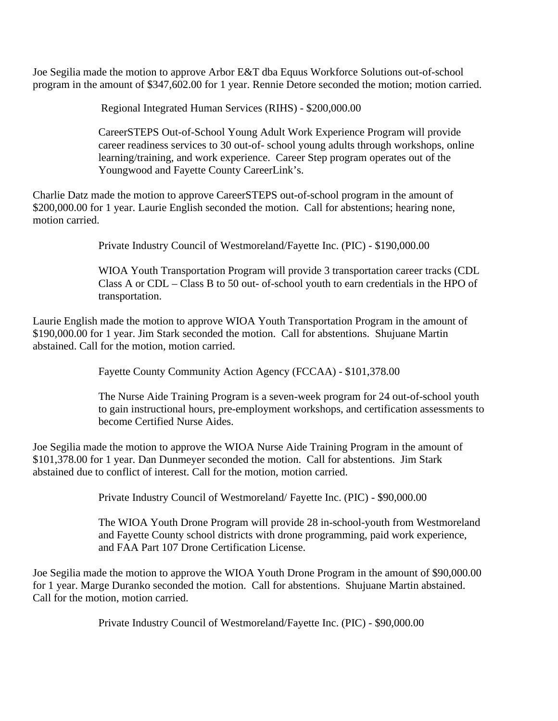Joe Segilia made the motion to approve Arbor E&T dba Equus Workforce Solutions out-of-school program in the amount of \$347,602.00 for 1 year. Rennie Detore seconded the motion; motion carried.

Regional Integrated Human Services (RIHS) - \$200,000.00

CareerSTEPS Out-of-School Young Adult Work Experience Program will provide career readiness services to 30 out-of- school young adults through workshops, online learning/training, and work experience. Career Step program operates out of the Youngwood and Fayette County CareerLink's.

Charlie Datz made the motion to approve CareerSTEPS out-of-school program in the amount of \$200,000.00 for 1 year. Laurie English seconded the motion. Call for abstentions; hearing none, motion carried.

Private Industry Council of Westmoreland/Fayette Inc. (PIC) - \$190,000.00

WIOA Youth Transportation Program will provide 3 transportation career tracks (CDL Class A or CDL – Class B to 50 out- of-school youth to earn credentials in the HPO of transportation.

Laurie English made the motion to approve WIOA Youth Transportation Program in the amount of \$190,000.00 for 1 year. Jim Stark seconded the motion. Call for abstentions. Shujuane Martin abstained. Call for the motion, motion carried.

Fayette County Community Action Agency (FCCAA) - \$101,378.00

The Nurse Aide Training Program is a seven-week program for 24 out-of-school youth to gain instructional hours, pre-employment workshops, and certification assessments to become Certified Nurse Aides.

Joe Segilia made the motion to approve the WIOA Nurse Aide Training Program in the amount of \$101,378.00 for 1 year. Dan Dunmeyer seconded the motion. Call for abstentions. Jim Stark abstained due to conflict of interest. Call for the motion, motion carried.

Private Industry Council of Westmoreland/ Fayette Inc. (PIC) - \$90,000.00

The WIOA Youth Drone Program will provide 28 in-school-youth from Westmoreland and Fayette County school districts with drone programming, paid work experience, and FAA Part 107 Drone Certification License.

Joe Segilia made the motion to approve the WIOA Youth Drone Program in the amount of \$90,000.00 for 1 year. Marge Duranko seconded the motion. Call for abstentions. Shujuane Martin abstained. Call for the motion, motion carried.

Private Industry Council of Westmoreland/Fayette Inc. (PIC) - \$90,000.00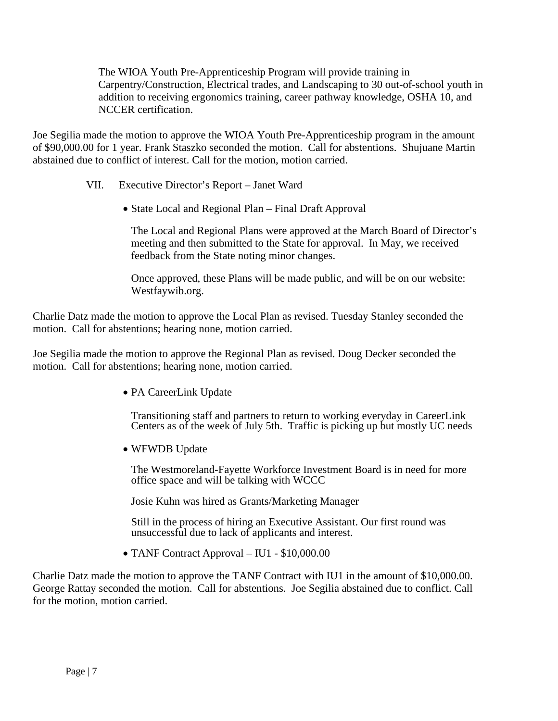The WIOA Youth Pre-Apprenticeship Program will provide training in Carpentry/Construction, Electrical trades, and Landscaping to 30 out-of-school youth in addition to receiving ergonomics training, career pathway knowledge, OSHA 10, and NCCER certification.

Joe Segilia made the motion to approve the WIOA Youth Pre-Apprenticeship program in the amount of \$90,000.00 for 1 year. Frank Staszko seconded the motion. Call for abstentions. Shujuane Martin abstained due to conflict of interest. Call for the motion, motion carried.

- VII. Executive Director's Report Janet Ward
	- State Local and Regional Plan Final Draft Approval

The Local and Regional Plans were approved at the March Board of Director's meeting and then submitted to the State for approval. In May, we received feedback from the State noting minor changes.

Once approved, these Plans will be made public, and will be on our website: Westfaywib.org.

Charlie Datz made the motion to approve the Local Plan as revised. Tuesday Stanley seconded the motion. Call for abstentions; hearing none, motion carried.

Joe Segilia made the motion to approve the Regional Plan as revised. Doug Decker seconded the motion. Call for abstentions; hearing none, motion carried.

• PA CareerLink Update

Transitioning staff and partners to return to working everyday in CareerLink Centers as of the week of July 5th. Traffic is picking up but mostly UC needs

• WFWDB Update

The Westmoreland-Fayette Workforce Investment Board is in need for more office space and will be talking with WCCC

Josie Kuhn was hired as Grants/Marketing Manager

Still in the process of hiring an Executive Assistant. Our first round was unsuccessful due to lack of applicants and interest.

• TANF Contract Approval – IU1 - \$10,000.00

Charlie Datz made the motion to approve the TANF Contract with IU1 in the amount of \$10,000.00. George Rattay seconded the motion. Call for abstentions. Joe Segilia abstained due to conflict. Call for the motion, motion carried.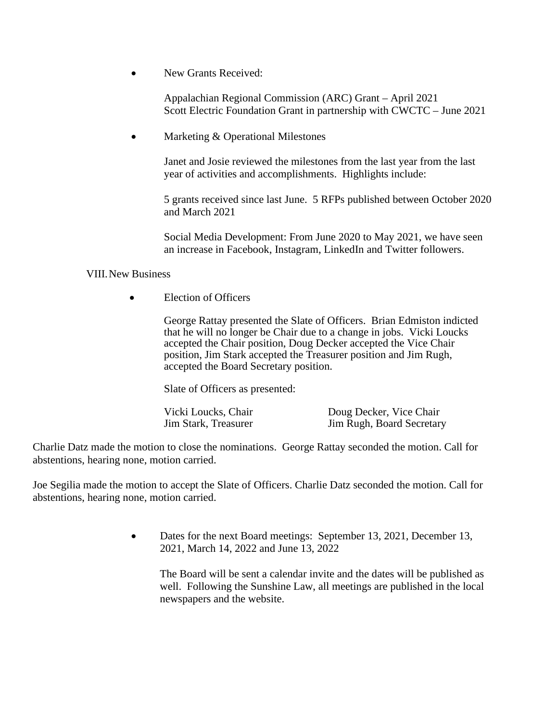New Grants Received:

Appalachian Regional Commission (ARC) Grant – April 2021 Scott Electric Foundation Grant in partnership with CWCTC – June 2021

Marketing & Operational Milestones

Janet and Josie reviewed the milestones from the last year from the last year of activities and accomplishments. Highlights include:

5 grants received since last June. 5 RFPs published between October 2020 and March 2021

Social Media Development: From June 2020 to May 2021, we have seen an increase in Facebook, Instagram, LinkedIn and Twitter followers.

## VIII.New Business

• **Election of Officers** 

George Rattay presented the Slate of Officers. Brian Edmiston indicted that he will no longer be Chair due to a change in jobs. Vicki Loucks accepted the Chair position, Doug Decker accepted the Vice Chair position, Jim Stark accepted the Treasurer position and Jim Rugh, accepted the Board Secretary position.

Slate of Officers as presented:

Vicki Loucks, Chair **Doug Decker, Vice Chair**<br> **Jim Stark. Treasurer Doug Decker, Vice Chair** 

Jim Rugh, Board Secretary

Charlie Datz made the motion to close the nominations. George Rattay seconded the motion. Call for abstentions, hearing none, motion carried.

Joe Segilia made the motion to accept the Slate of Officers. Charlie Datz seconded the motion. Call for abstentions, hearing none, motion carried.

> • Dates for the next Board meetings: September 13, 2021, December 13, 2021, March 14, 2022 and June 13, 2022

The Board will be sent a calendar invite and the dates will be published as well. Following the Sunshine Law, all meetings are published in the local newspapers and the website.